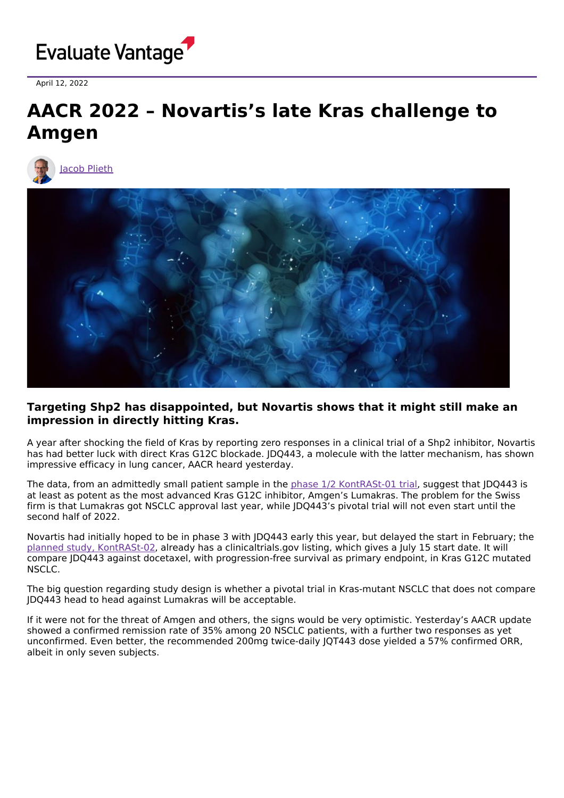

April 12, 2022

## **AACR 2022 – Novartis's late Kras challenge to Amgen**





## **Targeting Shp2 has disappointed, but Novartis shows that it might still make an impression in directly hitting Kras.**

A year after shocking the field of Kras by reporting zero responses in a clinical trial of a Shp2 inhibitor, Novartis has had better luck with direct Kras G12C blockade. JDQ443, a molecule with the latter mechanism, has shown impressive efficacy in lung cancer, AACR heard yesterday.

The data, from an admittedly small patient sample in the phase 1/2 [KontRASt-01](https://clinicaltrials.gov/ct2/show/NCT04699188) trial, suggest that JDQ443 is at least as potent as the most advanced Kras G12C inhibitor, Amgen's Lumakras. The problem for the Swiss firm is that Lumakras got NSCLC approval last year, while JDQ443's pivotal trial will not even start until the second half of 2022.

Novartis had initially hoped to be in phase 3 with JDQ443 early this year, but delayed the start in February; the planned study, [KontRASt-02,](https://clinicaltrials.gov/ct2/show/NCT05132075) already has a clinicaltrials.gov listing, which gives a July 15 start date. It will compare JDQ443 against docetaxel, with progression-free survival as primary endpoint, in Kras G12C mutated NSCLC.

The big question regarding study design is whether a pivotal trial in Kras-mutant NSCLC that does not compare JDQ443 head to head against Lumakras will be acceptable.

If it were not for the threat of Amgen and others, the signs would be very optimistic. Yesterday's AACR update showed a confirmed remission rate of 35% among 20 NSCLC patients, with a further two responses as yet unconfirmed. Even better, the recommended 200mg twice-daily JQT443 dose yielded a 57% confirmed ORR, albeit in only seven subjects.